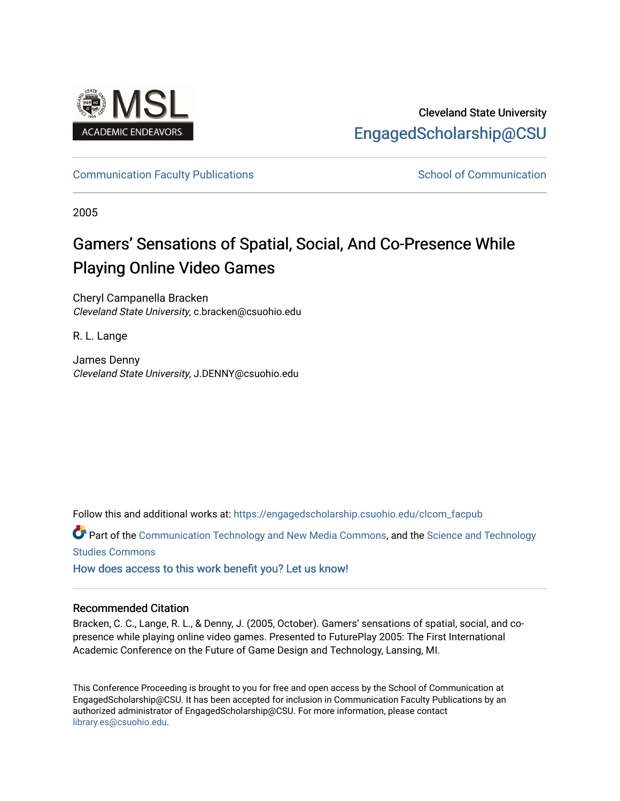

# Cleveland State University [EngagedScholarship@CSU](https://engagedscholarship.csuohio.edu/)

# [Communication Faculty Publications](https://engagedscholarship.csuohio.edu/clcom_facpub) [School of Communication](https://engagedscholarship.csuohio.edu/clcom) School of Communication

2005

# Gamers' Sensations of Spatial, Social, And Co-Presence While Playing Online Video Games

Cheryl Campanella Bracken Cleveland State University, c.bracken@csuohio.edu

R. L. Lange

James Denny Cleveland State University, J.DENNY@csuohio.edu

Follow this and additional works at: [https://engagedscholarship.csuohio.edu/clcom\\_facpub](https://engagedscholarship.csuohio.edu/clcom_facpub?utm_source=engagedscholarship.csuohio.edu%2Fclcom_facpub%2F65&utm_medium=PDF&utm_campaign=PDFCoverPages) 

Part of the [Communication Technology and New Media Commons,](http://network.bepress.com/hgg/discipline/327?utm_source=engagedscholarship.csuohio.edu%2Fclcom_facpub%2F65&utm_medium=PDF&utm_campaign=PDFCoverPages) and the [Science and Technology](http://network.bepress.com/hgg/discipline/435?utm_source=engagedscholarship.csuohio.edu%2Fclcom_facpub%2F65&utm_medium=PDF&utm_campaign=PDFCoverPages)  [Studies Commons](http://network.bepress.com/hgg/discipline/435?utm_source=engagedscholarship.csuohio.edu%2Fclcom_facpub%2F65&utm_medium=PDF&utm_campaign=PDFCoverPages) 

[How does access to this work benefit you? Let us know!](http://library.csuohio.edu/engaged/)

# Recommended Citation

Bracken, C. C., Lange, R. L., & Denny, J. (2005, October). Gamers' sensations of spatial, social, and copresence while playing online video games. Presented to FuturePlay 2005: The First International Academic Conference on the Future of Game Design and Technology, Lansing, MI.

This Conference Proceeding is brought to you for free and open access by the School of Communication at EngagedScholarship@CSU. It has been accepted for inclusion in Communication Faculty Publications by an authorized administrator of EngagedScholarship@CSU. For more information, please contact [library.es@csuohio.edu.](mailto:library.es@csuohio.edu)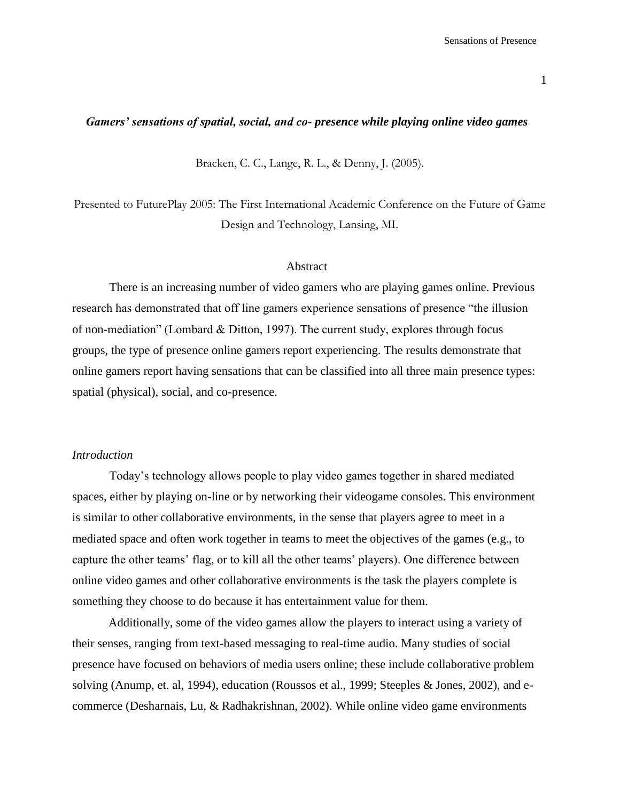# *Gamers' sensations of spatial, social, and co- presence while playing online video games*

Bracken, C. C., Lange, R. L., & Denny, J. (2005).

Presented to FuturePlay 2005: The First International Academic Conference on the Future of Game Design and Technology, Lansing, MI.

#### Abstract

There is an increasing number of video gamers who are playing games online. Previous research has demonstrated that off line gamers experience sensations of presence "the illusion of non-mediation" (Lombard & Ditton, 1997). The current study, explores through focus groups, the type of presence online gamers report experiencing. The results demonstrate that online gamers report having sensations that can be classified into all three main presence types: spatial (physical), social, and co-presence.

# *Introduction*

Today's technology allows people to play video games together in shared mediated spaces, either by playing on-line or by networking their videogame consoles. This environment is similar to other collaborative environments, in the sense that players agree to meet in a mediated space and often work together in teams to meet the objectives of the games (e.g., to capture the other teams' flag, or to kill all the other teams' players). One difference between online video games and other collaborative environments is the task the players complete is something they choose to do because it has entertainment value for them.

Additionally, some of the video games allow the players to interact using a variety of their senses, ranging from text-based messaging to real-time audio. Many studies of social presence have focused on behaviors of media users online; these include collaborative problem solving (Anump, et. al, 1994), education (Roussos et al., 1999; Steeples & Jones, 2002), and ecommerce (Desharnais, Lu, & Radhakrishnan, 2002). While online video game environments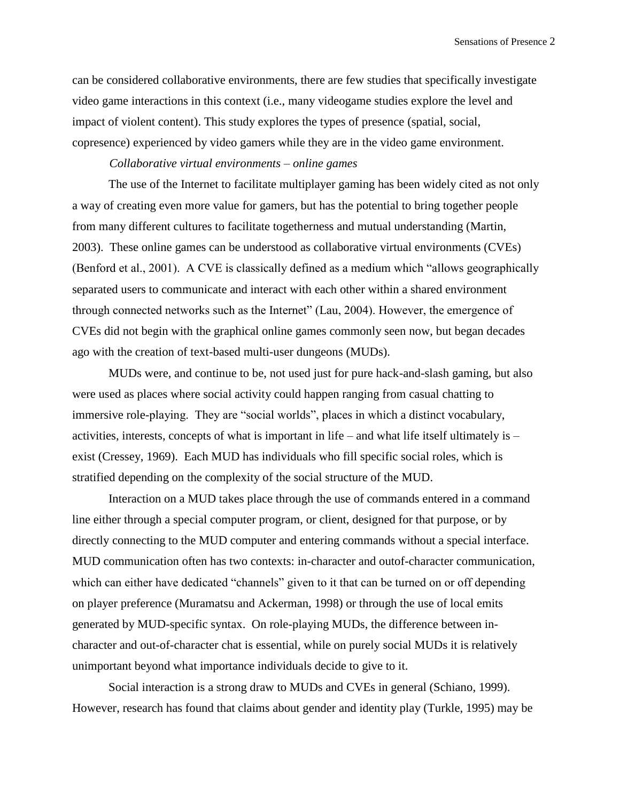can be considered collaborative environments, there are few studies that specifically investigate video game interactions in this context (i.e., many videogame studies explore the level and impact of violent content). This study explores the types of presence (spatial, social, copresence) experienced by video gamers while they are in the video game environment.

# *Collaborative virtual environments – online games*

The use of the Internet to facilitate multiplayer gaming has been widely cited as not only a way of creating even more value for gamers, but has the potential to bring together people from many different cultures to facilitate togetherness and mutual understanding (Martin, 2003). These online games can be understood as collaborative virtual environments (CVEs) (Benford et al., 2001). A CVE is classically defined as a medium which "allows geographically separated users to communicate and interact with each other within a shared environment through connected networks such as the Internet" (Lau, 2004). However, the emergence of CVEs did not begin with the graphical online games commonly seen now, but began decades ago with the creation of text-based multi-user dungeons (MUDs).

MUDs were, and continue to be, not used just for pure hack-and-slash gaming, but also were used as places where social activity could happen ranging from casual chatting to immersive role-playing. They are "social worlds", places in which a distinct vocabulary, activities, interests, concepts of what is important in life – and what life itself ultimately is – exist (Cressey, 1969). Each MUD has individuals who fill specific social roles, which is stratified depending on the complexity of the social structure of the MUD.

Interaction on a MUD takes place through the use of commands entered in a command line either through a special computer program, or client, designed for that purpose, or by directly connecting to the MUD computer and entering commands without a special interface. MUD communication often has two contexts: in-character and outof-character communication, which can either have dedicated "channels" given to it that can be turned on or off depending on player preference (Muramatsu and Ackerman, 1998) or through the use of local emits generated by MUD-specific syntax. On role-playing MUDs, the difference between incharacter and out-of-character chat is essential, while on purely social MUDs it is relatively unimportant beyond what importance individuals decide to give to it.

Social interaction is a strong draw to MUDs and CVEs in general (Schiano, 1999). However, research has found that claims about gender and identity play (Turkle, 1995) may be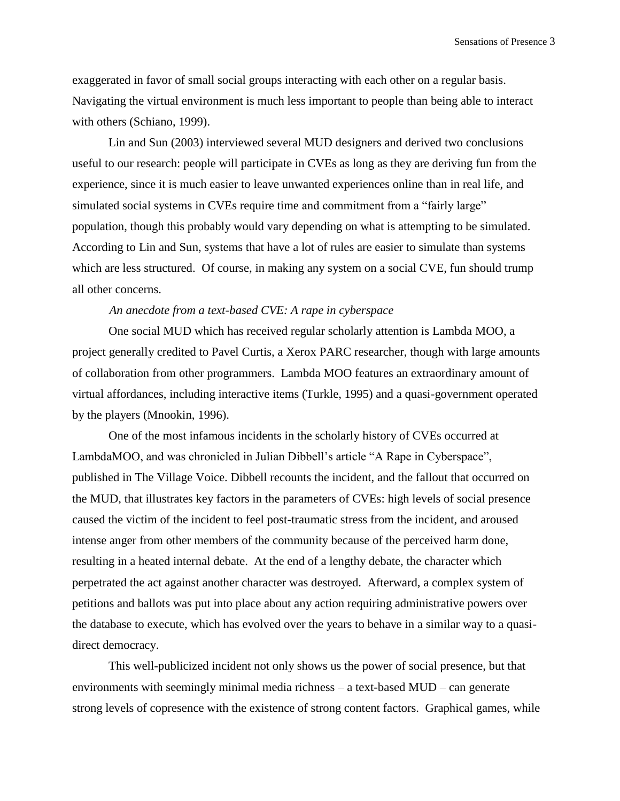exaggerated in favor of small social groups interacting with each other on a regular basis. Navigating the virtual environment is much less important to people than being able to interact with others (Schiano, 1999).

Lin and Sun (2003) interviewed several MUD designers and derived two conclusions useful to our research: people will participate in CVEs as long as they are deriving fun from the experience, since it is much easier to leave unwanted experiences online than in real life, and simulated social systems in CVEs require time and commitment from a "fairly large" population, though this probably would vary depending on what is attempting to be simulated. According to Lin and Sun, systems that have a lot of rules are easier to simulate than systems which are less structured. Of course, in making any system on a social CVE, fun should trump all other concerns.

#### *An anecdote from a text-based CVE: A rape in cyberspace*

One social MUD which has received regular scholarly attention is Lambda MOO, a project generally credited to Pavel Curtis, a Xerox PARC researcher, though with large amounts of collaboration from other programmers. Lambda MOO features an extraordinary amount of virtual affordances, including interactive items (Turkle, 1995) and a quasi-government operated by the players (Mnookin, 1996).

One of the most infamous incidents in the scholarly history of CVEs occurred at LambdaMOO, and was chronicled in Julian Dibbell's article "A Rape in Cyberspace", published in The Village Voice. Dibbell recounts the incident, and the fallout that occurred on the MUD, that illustrates key factors in the parameters of CVEs: high levels of social presence caused the victim of the incident to feel post-traumatic stress from the incident, and aroused intense anger from other members of the community because of the perceived harm done, resulting in a heated internal debate. At the end of a lengthy debate, the character which perpetrated the act against another character was destroyed. Afterward, a complex system of petitions and ballots was put into place about any action requiring administrative powers over the database to execute, which has evolved over the years to behave in a similar way to a quasidirect democracy.

This well-publicized incident not only shows us the power of social presence, but that environments with seemingly minimal media richness – a text-based MUD – can generate strong levels of copresence with the existence of strong content factors. Graphical games, while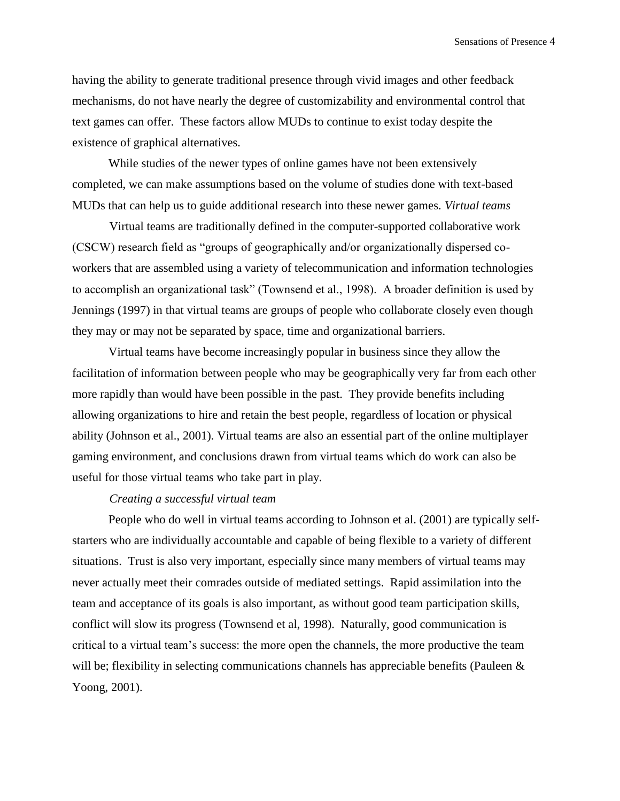having the ability to generate traditional presence through vivid images and other feedback mechanisms, do not have nearly the degree of customizability and environmental control that text games can offer. These factors allow MUDs to continue to exist today despite the existence of graphical alternatives.

While studies of the newer types of online games have not been extensively completed, we can make assumptions based on the volume of studies done with text-based MUDs that can help us to guide additional research into these newer games. *Virtual teams*

Virtual teams are traditionally defined in the computer-supported collaborative work (CSCW) research field as "groups of geographically and/or organizationally dispersed coworkers that are assembled using a variety of telecommunication and information technologies to accomplish an organizational task" (Townsend et al., 1998). A broader definition is used by Jennings (1997) in that virtual teams are groups of people who collaborate closely even though they may or may not be separated by space, time and organizational barriers.

Virtual teams have become increasingly popular in business since they allow the facilitation of information between people who may be geographically very far from each other more rapidly than would have been possible in the past. They provide benefits including allowing organizations to hire and retain the best people, regardless of location or physical ability (Johnson et al., 2001). Virtual teams are also an essential part of the online multiplayer gaming environment, and conclusions drawn from virtual teams which do work can also be useful for those virtual teams who take part in play.

#### *Creating a successful virtual team*

People who do well in virtual teams according to Johnson et al. (2001) are typically selfstarters who are individually accountable and capable of being flexible to a variety of different situations. Trust is also very important, especially since many members of virtual teams may never actually meet their comrades outside of mediated settings. Rapid assimilation into the team and acceptance of its goals is also important, as without good team participation skills, conflict will slow its progress (Townsend et al, 1998). Naturally, good communication is critical to a virtual team's success: the more open the channels, the more productive the team will be; flexibility in selecting communications channels has appreciable benefits (Pauleen  $\&$ Yoong, 2001).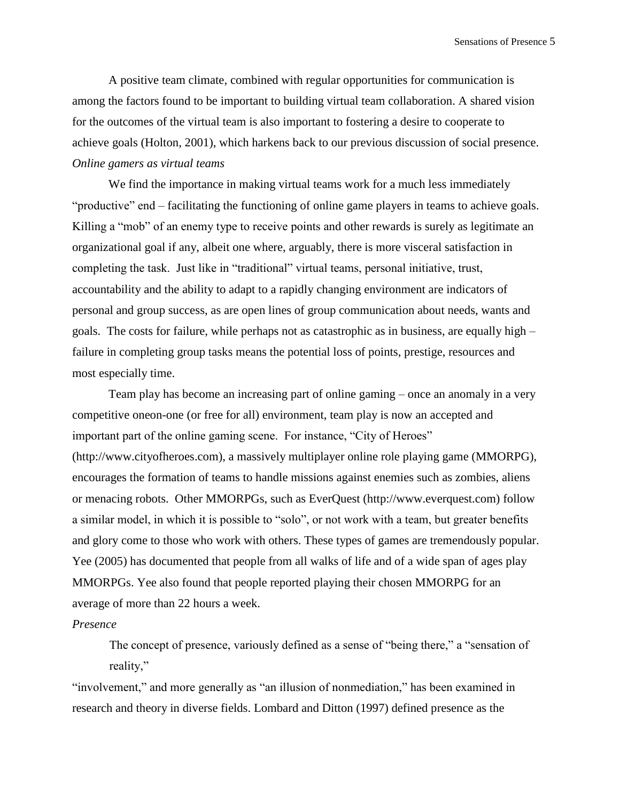A positive team climate, combined with regular opportunities for communication is among the factors found to be important to building virtual team collaboration. A shared vision for the outcomes of the virtual team is also important to fostering a desire to cooperate to achieve goals (Holton, 2001), which harkens back to our previous discussion of social presence. *Online gamers as virtual teams* 

We find the importance in making virtual teams work for a much less immediately "productive" end – facilitating the functioning of online game players in teams to achieve goals. Killing a "mob" of an enemy type to receive points and other rewards is surely as legitimate an organizational goal if any, albeit one where, arguably, there is more visceral satisfaction in completing the task. Just like in "traditional" virtual teams, personal initiative, trust, accountability and the ability to adapt to a rapidly changing environment are indicators of personal and group success, as are open lines of group communication about needs, wants and goals. The costs for failure, while perhaps not as catastrophic as in business, are equally high – failure in completing group tasks means the potential loss of points, prestige, resources and most especially time.

Team play has become an increasing part of online gaming – once an anomaly in a very competitive oneon-one (or free for all) environment, team play is now an accepted and important part of the online gaming scene. For instance, "City of Heroes" (http://www.cityofheroes.com), a massively multiplayer online role playing game (MMORPG), encourages the formation of teams to handle missions against enemies such as zombies, aliens or menacing robots. Other MMORPGs, such as EverQuest (http://www.everquest.com) follow a similar model, in which it is possible to "solo", or not work with a team, but greater benefits and glory come to those who work with others. These types of games are tremendously popular. Yee (2005) has documented that people from all walks of life and of a wide span of ages play MMORPGs. Yee also found that people reported playing their chosen MMORPG for an average of more than 22 hours a week.

#### *Presence*

The concept of presence, variously defined as a sense of "being there," a "sensation of reality,"

"involvement," and more generally as "an illusion of nonmediation," has been examined in research and theory in diverse fields. Lombard and Ditton (1997) defined presence as the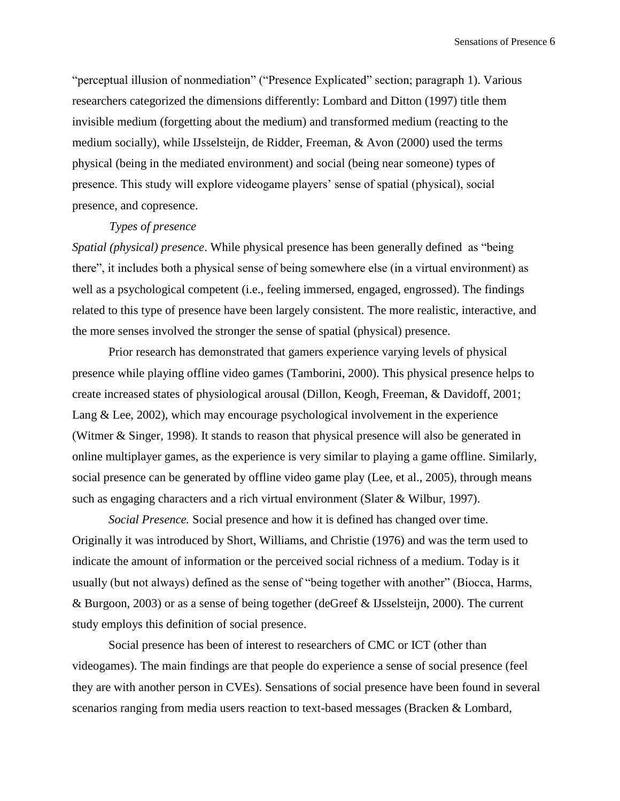"perceptual illusion of nonmediation" ("Presence Explicated" section; paragraph 1). Various researchers categorized the dimensions differently: Lombard and Ditton (1997) title them invisible medium (forgetting about the medium) and transformed medium (reacting to the medium socially), while IJsselsteijn, de Ridder, Freeman, & Avon (2000) used the terms physical (being in the mediated environment) and social (being near someone) types of presence. This study will explore videogame players' sense of spatial (physical), social presence, and copresence.

# *Types of presence*

*Spatial (physical) presence*. While physical presence has been generally defined as "being there", it includes both a physical sense of being somewhere else (in a virtual environment) as well as a psychological competent (i.e., feeling immersed, engaged, engrossed). The findings related to this type of presence have been largely consistent. The more realistic, interactive, and the more senses involved the stronger the sense of spatial (physical) presence.

Prior research has demonstrated that gamers experience varying levels of physical presence while playing offline video games (Tamborini, 2000). This physical presence helps to create increased states of physiological arousal (Dillon, Keogh, Freeman, & Davidoff, 2001; Lang & Lee, 2002), which may encourage psychological involvement in the experience (Witmer & Singer, 1998). It stands to reason that physical presence will also be generated in online multiplayer games, as the experience is very similar to playing a game offline. Similarly, social presence can be generated by offline video game play (Lee, et al., 2005), through means such as engaging characters and a rich virtual environment (Slater & Wilbur, 1997).

*Social Presence.* Social presence and how it is defined has changed over time. Originally it was introduced by Short, Williams, and Christie (1976) and was the term used to indicate the amount of information or the perceived social richness of a medium. Today is it usually (but not always) defined as the sense of "being together with another" (Biocca, Harms, & Burgoon, 2003) or as a sense of being together (deGreef & IJsselsteijn, 2000). The current study employs this definition of social presence.

Social presence has been of interest to researchers of CMC or ICT (other than videogames). The main findings are that people do experience a sense of social presence (feel they are with another person in CVEs). Sensations of social presence have been found in several scenarios ranging from media users reaction to text-based messages (Bracken & Lombard,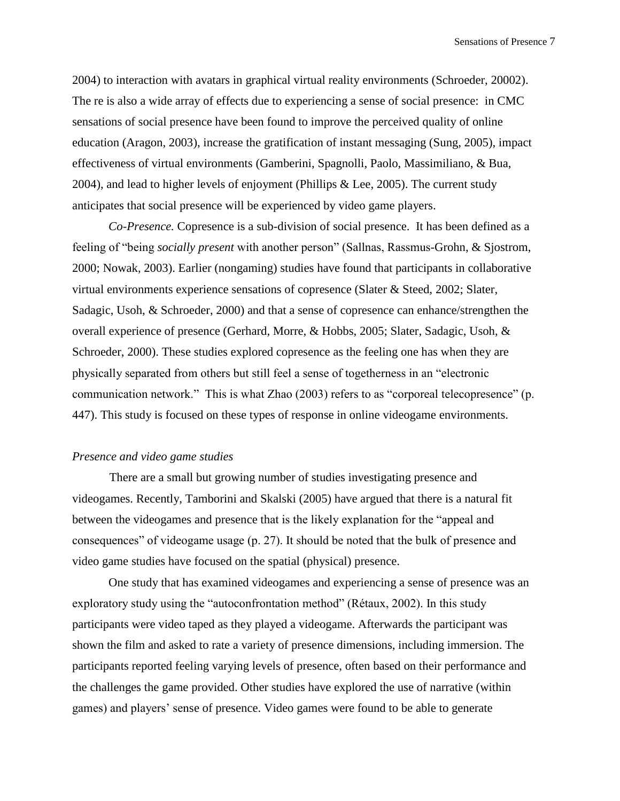2004) to interaction with avatars in graphical virtual reality environments (Schroeder, 20002). The re is also a wide array of effects due to experiencing a sense of social presence: in CMC sensations of social presence have been found to improve the perceived quality of online education (Aragon, 2003), increase the gratification of instant messaging (Sung, 2005), impact effectiveness of virtual environments (Gamberini, Spagnolli, Paolo, Massimiliano, & Bua, 2004), and lead to higher levels of enjoyment (Phillips & Lee, 2005). The current study anticipates that social presence will be experienced by video game players.

*Co-Presence.* Copresence is a sub-division of social presence. It has been defined as a feeling of "being *socially present* with another person" (Sallnas, Rassmus-Grohn, & Sjostrom, 2000; Nowak, 2003). Earlier (nongaming) studies have found that participants in collaborative virtual environments experience sensations of copresence (Slater & Steed, 2002; Slater, Sadagic, Usoh, & Schroeder, 2000) and that a sense of copresence can enhance/strengthen the overall experience of presence (Gerhard, Morre, & Hobbs, 2005; Slater, Sadagic, Usoh, & Schroeder, 2000). These studies explored copresence as the feeling one has when they are physically separated from others but still feel a sense of togetherness in an "electronic communication network." This is what Zhao (2003) refers to as "corporeal telecopresence" (p. 447). This study is focused on these types of response in online videogame environments.

### *Presence and video game studies*

There are a small but growing number of studies investigating presence and videogames. Recently, Tamborini and Skalski (2005) have argued that there is a natural fit between the videogames and presence that is the likely explanation for the "appeal and consequences" of videogame usage (p. 27). It should be noted that the bulk of presence and video game studies have focused on the spatial (physical) presence.

One study that has examined videogames and experiencing a sense of presence was an exploratory study using the "autoconfrontation method" (Rétaux, 2002). In this study participants were video taped as they played a videogame. Afterwards the participant was shown the film and asked to rate a variety of presence dimensions, including immersion. The participants reported feeling varying levels of presence, often based on their performance and the challenges the game provided. Other studies have explored the use of narrative (within games) and players' sense of presence. Video games were found to be able to generate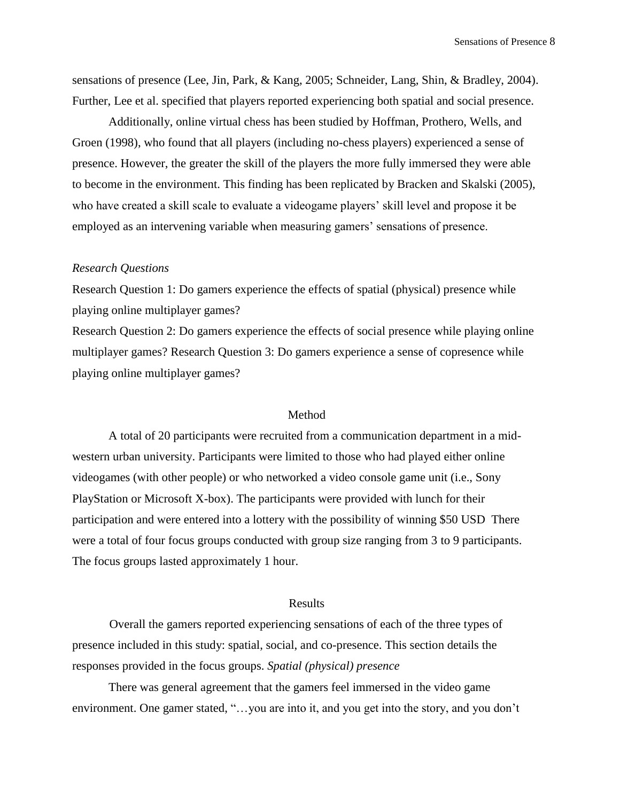sensations of presence (Lee, Jin, Park, & Kang, 2005; Schneider, Lang, Shin, & Bradley, 2004). Further, Lee et al. specified that players reported experiencing both spatial and social presence.

Additionally, online virtual chess has been studied by Hoffman, Prothero, Wells, and Groen (1998), who found that all players (including no-chess players) experienced a sense of presence. However, the greater the skill of the players the more fully immersed they were able to become in the environment. This finding has been replicated by Bracken and Skalski (2005), who have created a skill scale to evaluate a videogame players' skill level and propose it be employed as an intervening variable when measuring gamers' sensations of presence.

#### *Research Questions*

Research Question 1: Do gamers experience the effects of spatial (physical) presence while playing online multiplayer games?

Research Question 2: Do gamers experience the effects of social presence while playing online multiplayer games? Research Question 3: Do gamers experience a sense of copresence while playing online multiplayer games?

#### Method

A total of 20 participants were recruited from a communication department in a midwestern urban university. Participants were limited to those who had played either online videogames (with other people) or who networked a video console game unit (i.e., Sony PlayStation or Microsoft X-box). The participants were provided with lunch for their participation and were entered into a lottery with the possibility of winning \$50 USD There were a total of four focus groups conducted with group size ranging from 3 to 9 participants. The focus groups lasted approximately 1 hour.

#### Results

Overall the gamers reported experiencing sensations of each of the three types of presence included in this study: spatial, social, and co-presence. This section details the responses provided in the focus groups. *Spatial (physical) presence* 

There was general agreement that the gamers feel immersed in the video game environment. One gamer stated, "…you are into it, and you get into the story, and you don't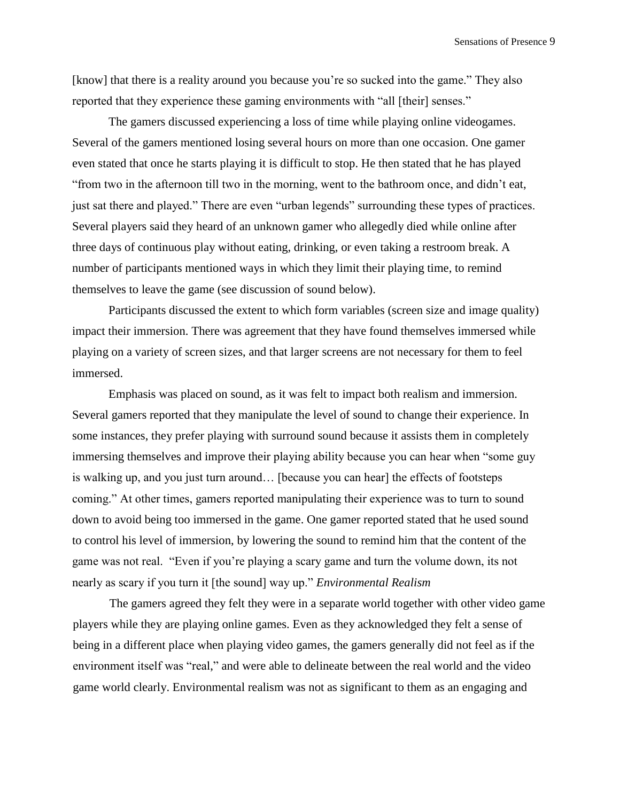[know] that there is a reality around you because you're so sucked into the game." They also reported that they experience these gaming environments with "all [their] senses."

The gamers discussed experiencing a loss of time while playing online videogames. Several of the gamers mentioned losing several hours on more than one occasion. One gamer even stated that once he starts playing it is difficult to stop. He then stated that he has played "from two in the afternoon till two in the morning, went to the bathroom once, and didn't eat, just sat there and played." There are even "urban legends" surrounding these types of practices. Several players said they heard of an unknown gamer who allegedly died while online after three days of continuous play without eating, drinking, or even taking a restroom break. A number of participants mentioned ways in which they limit their playing time, to remind themselves to leave the game (see discussion of sound below).

Participants discussed the extent to which form variables (screen size and image quality) impact their immersion. There was agreement that they have found themselves immersed while playing on a variety of screen sizes, and that larger screens are not necessary for them to feel immersed.

Emphasis was placed on sound, as it was felt to impact both realism and immersion. Several gamers reported that they manipulate the level of sound to change their experience. In some instances, they prefer playing with surround sound because it assists them in completely immersing themselves and improve their playing ability because you can hear when "some guy is walking up, and you just turn around… [because you can hear] the effects of footsteps coming." At other times, gamers reported manipulating their experience was to turn to sound down to avoid being too immersed in the game. One gamer reported stated that he used sound to control his level of immersion, by lowering the sound to remind him that the content of the game was not real. "Even if you're playing a scary game and turn the volume down, its not nearly as scary if you turn it [the sound] way up." *Environmental Realism* 

The gamers agreed they felt they were in a separate world together with other video game players while they are playing online games. Even as they acknowledged they felt a sense of being in a different place when playing video games, the gamers generally did not feel as if the environment itself was "real," and were able to delineate between the real world and the video game world clearly. Environmental realism was not as significant to them as an engaging and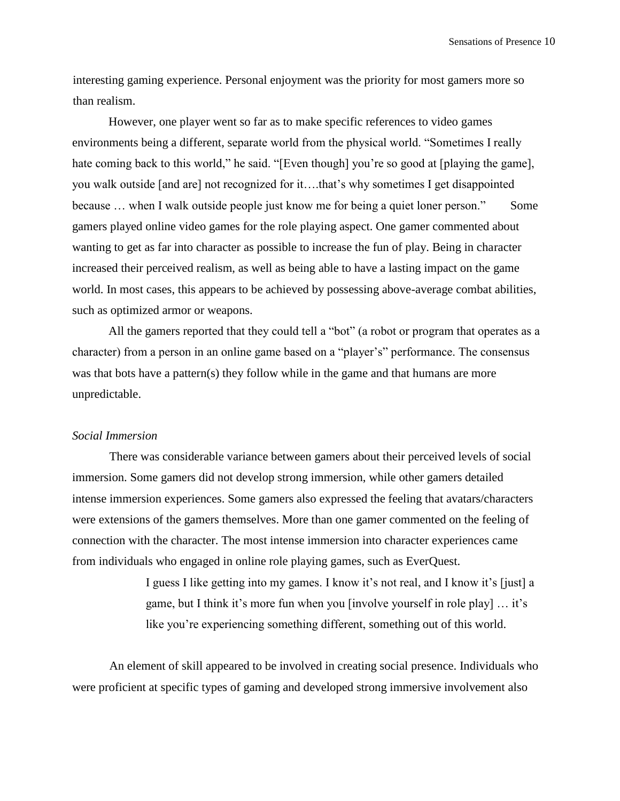Sensations of Presence 10

interesting gaming experience. Personal enjoyment was the priority for most gamers more so than realism.

However, one player went so far as to make specific references to video games environments being a different, separate world from the physical world. "Sometimes I really hate coming back to this world," he said. "[Even though] you're so good at [playing the game], you walk outside [and are] not recognized for it….that's why sometimes I get disappointed because ... when I walk outside people just know me for being a quiet loner person." Some gamers played online video games for the role playing aspect. One gamer commented about wanting to get as far into character as possible to increase the fun of play. Being in character increased their perceived realism, as well as being able to have a lasting impact on the game world. In most cases, this appears to be achieved by possessing above-average combat abilities, such as optimized armor or weapons.

All the gamers reported that they could tell a "bot" (a robot or program that operates as a character) from a person in an online game based on a "player's" performance. The consensus was that bots have a pattern(s) they follow while in the game and that humans are more unpredictable.

# *Social Immersion*

There was considerable variance between gamers about their perceived levels of social immersion. Some gamers did not develop strong immersion, while other gamers detailed intense immersion experiences. Some gamers also expressed the feeling that avatars/characters were extensions of the gamers themselves. More than one gamer commented on the feeling of connection with the character. The most intense immersion into character experiences came from individuals who engaged in online role playing games, such as EverQuest.

> I guess I like getting into my games. I know it's not real, and I know it's [just] a game, but I think it's more fun when you [involve yourself in role play] … it's like you're experiencing something different, something out of this world.

An element of skill appeared to be involved in creating social presence. Individuals who were proficient at specific types of gaming and developed strong immersive involvement also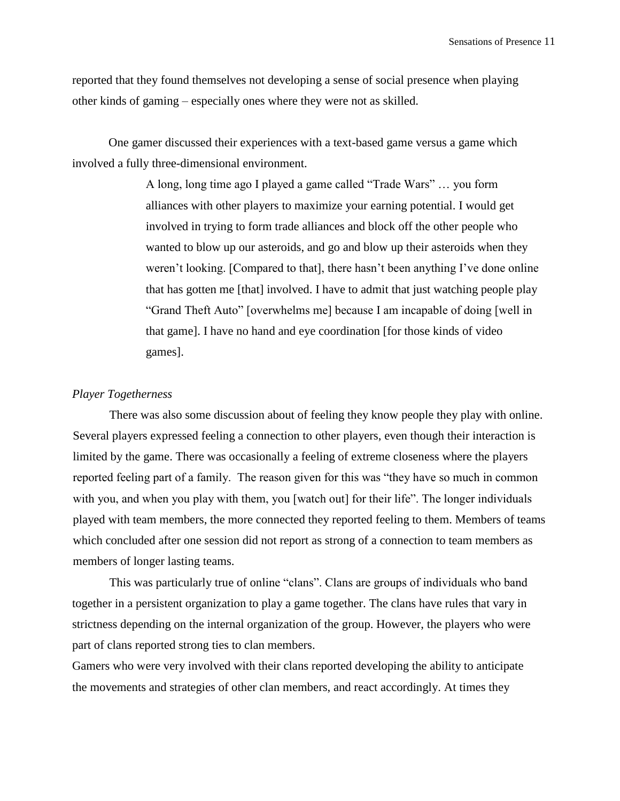Sensations of Presence 11

reported that they found themselves not developing a sense of social presence when playing other kinds of gaming – especially ones where they were not as skilled.

One gamer discussed their experiences with a text-based game versus a game which involved a fully three-dimensional environment.

> A long, long time ago I played a game called "Trade Wars" … you form alliances with other players to maximize your earning potential. I would get involved in trying to form trade alliances and block off the other people who wanted to blow up our asteroids, and go and blow up their asteroids when they weren't looking. [Compared to that], there hasn't been anything I've done online that has gotten me [that] involved. I have to admit that just watching people play "Grand Theft Auto" [overwhelms me] because I am incapable of doing [well in that game]. I have no hand and eye coordination [for those kinds of video games].

### *Player Togetherness*

There was also some discussion about of feeling they know people they play with online. Several players expressed feeling a connection to other players, even though their interaction is limited by the game. There was occasionally a feeling of extreme closeness where the players reported feeling part of a family. The reason given for this was "they have so much in common with you, and when you play with them, you [watch out] for their life". The longer individuals played with team members, the more connected they reported feeling to them. Members of teams which concluded after one session did not report as strong of a connection to team members as members of longer lasting teams.

This was particularly true of online "clans". Clans are groups of individuals who band together in a persistent organization to play a game together. The clans have rules that vary in strictness depending on the internal organization of the group. However, the players who were part of clans reported strong ties to clan members.

Gamers who were very involved with their clans reported developing the ability to anticipate the movements and strategies of other clan members, and react accordingly. At times they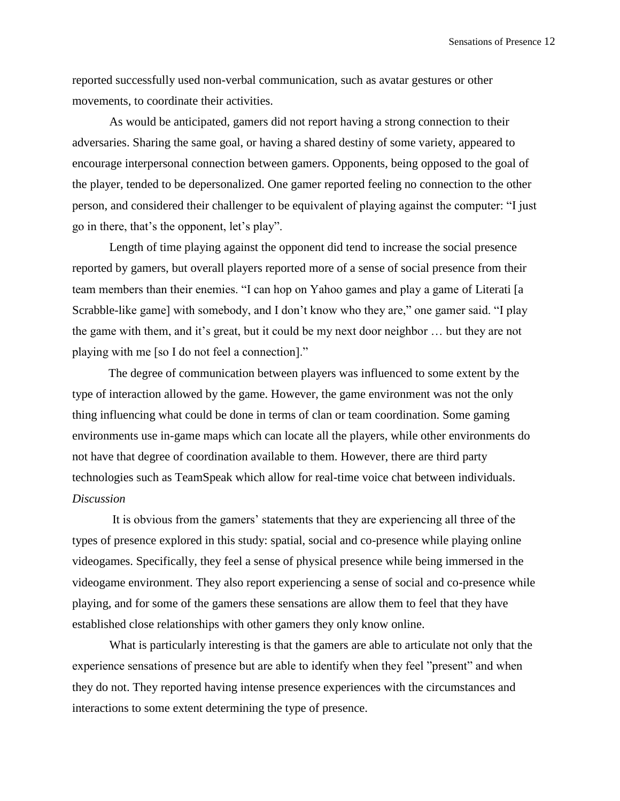Sensations of Presence 12

reported successfully used non-verbal communication, such as avatar gestures or other movements, to coordinate their activities.

As would be anticipated, gamers did not report having a strong connection to their adversaries. Sharing the same goal, or having a shared destiny of some variety, appeared to encourage interpersonal connection between gamers. Opponents, being opposed to the goal of the player, tended to be depersonalized. One gamer reported feeling no connection to the other person, and considered their challenger to be equivalent of playing against the computer: "I just go in there, that's the opponent, let's play".

Length of time playing against the opponent did tend to increase the social presence reported by gamers, but overall players reported more of a sense of social presence from their team members than their enemies. "I can hop on Yahoo games and play a game of Literati [a Scrabble-like game] with somebody, and I don't know who they are," one gamer said. "I play the game with them, and it's great, but it could be my next door neighbor … but they are not playing with me [so I do not feel a connection]."

The degree of communication between players was influenced to some extent by the type of interaction allowed by the game. However, the game environment was not the only thing influencing what could be done in terms of clan or team coordination. Some gaming environments use in-game maps which can locate all the players, while other environments do not have that degree of coordination available to them. However, there are third party technologies such as TeamSpeak which allow for real-time voice chat between individuals. *Discussion* 

It is obvious from the gamers' statements that they are experiencing all three of the types of presence explored in this study: spatial, social and co-presence while playing online videogames. Specifically, they feel a sense of physical presence while being immersed in the videogame environment. They also report experiencing a sense of social and co-presence while playing, and for some of the gamers these sensations are allow them to feel that they have established close relationships with other gamers they only know online.

What is particularly interesting is that the gamers are able to articulate not only that the experience sensations of presence but are able to identify when they feel "present" and when they do not. They reported having intense presence experiences with the circumstances and interactions to some extent determining the type of presence.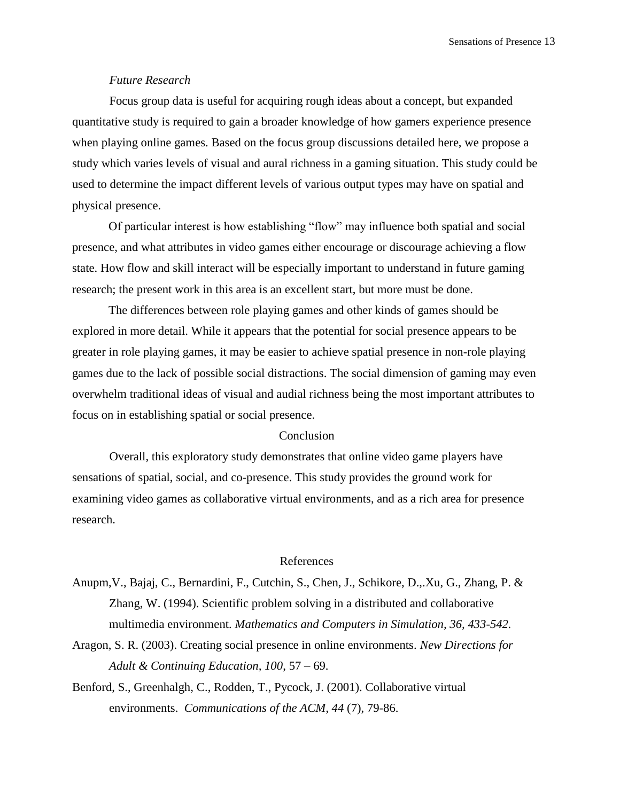# *Future Research*

Focus group data is useful for acquiring rough ideas about a concept, but expanded quantitative study is required to gain a broader knowledge of how gamers experience presence when playing online games. Based on the focus group discussions detailed here, we propose a study which varies levels of visual and aural richness in a gaming situation. This study could be used to determine the impact different levels of various output types may have on spatial and physical presence.

Of particular interest is how establishing "flow" may influence both spatial and social presence, and what attributes in video games either encourage or discourage achieving a flow state. How flow and skill interact will be especially important to understand in future gaming research; the present work in this area is an excellent start, but more must be done.

The differences between role playing games and other kinds of games should be explored in more detail. While it appears that the potential for social presence appears to be greater in role playing games, it may be easier to achieve spatial presence in non-role playing games due to the lack of possible social distractions. The social dimension of gaming may even overwhelm traditional ideas of visual and audial richness being the most important attributes to focus on in establishing spatial or social presence.

# **Conclusion**

Overall, this exploratory study demonstrates that online video game players have sensations of spatial, social, and co-presence. This study provides the ground work for examining video games as collaborative virtual environments, and as a rich area for presence research.

#### References

- Anupm,V., Bajaj, C., Bernardini, F., Cutchin, S., Chen, J., Schikore, D.,.Xu, G., Zhang, P. & Zhang, W. (1994). Scientific problem solving in a distributed and collaborative multimedia environment. *Mathematics and Computers in Simulation, 36, 433-542.*
- Aragon, S. R. (2003). Creating social presence in online environments. *New Directions for Adult & Continuing Education, 100*, 57 – 69.
- Benford, S., Greenhalgh, C., Rodden, T., Pycock, J. (2001). Collaborative virtual environments. *Communications of the ACM, 44* (7), 79-86.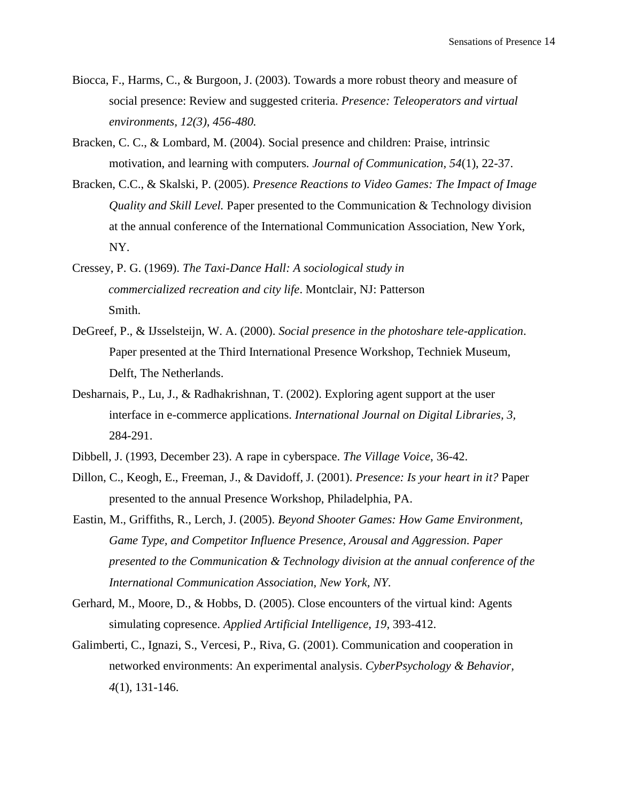- Biocca, F., Harms, C., & Burgoon, J. (2003). Towards a more robust theory and measure of social presence: Review and suggested criteria. *Presence: Teleoperators and virtual environments, 12(3), 456-480.*
- Bracken, C. C., & Lombard, M. (2004). Social presence and children: Praise, intrinsic motivation, and learning with computers*. Journal of Communication, 54*(1), 22-37.
- Bracken, C.C., & Skalski, P. (2005). *Presence Reactions to Video Games: The Impact of Image Quality and Skill Level.* Paper presented to the Communication & Technology division at the annual conference of the International Communication Association, New York, NY.
- Cressey, P. G. (1969). *The Taxi-Dance Hall: A sociological study in commercialized recreation and city life*. Montclair, NJ: Patterson Smith.
- DeGreef, P., & IJsselsteijn, W. A. (2000). *Social presence in the photoshare tele-application*. Paper presented at the Third International Presence Workshop, Techniek Museum, Delft, The Netherlands.
- Desharnais, P., Lu, J., & Radhakrishnan, T. (2002). Exploring agent support at the user interface in e-commerce applications. *International Journal on Digital Libraries, 3,* 284-291.
- Dibbell, J. (1993, December 23). A rape in cyberspace. *The Village Voice*, 36-42.
- Dillon, C., Keogh, E., Freeman, J., & Davidoff, J. (2001). *Presence: Is your heart in it?* Paper presented to the annual Presence Workshop, Philadelphia, PA.
- Eastin, M., Griffiths, R., Lerch, J. (2005). *Beyond Shooter Games: How Game Environment, Game Type, and Competitor Influence Presence, Arousal and Aggression. Paper presented to the Communication & Technology division at the annual conference of the International Communication Association, New York, NY.*
- Gerhard, M., Moore, D., & Hobbs, D. (2005). Close encounters of the virtual kind: Agents simulating copresence. *Applied Artificial Intelligence, 19*, 393-412.
- Galimberti, C., Ignazi, S., Vercesi, P., Riva, G. (2001). Communication and cooperation in networked environments: An experimental analysis. *CyberPsychology & Behavior, 4*(1), 131-146.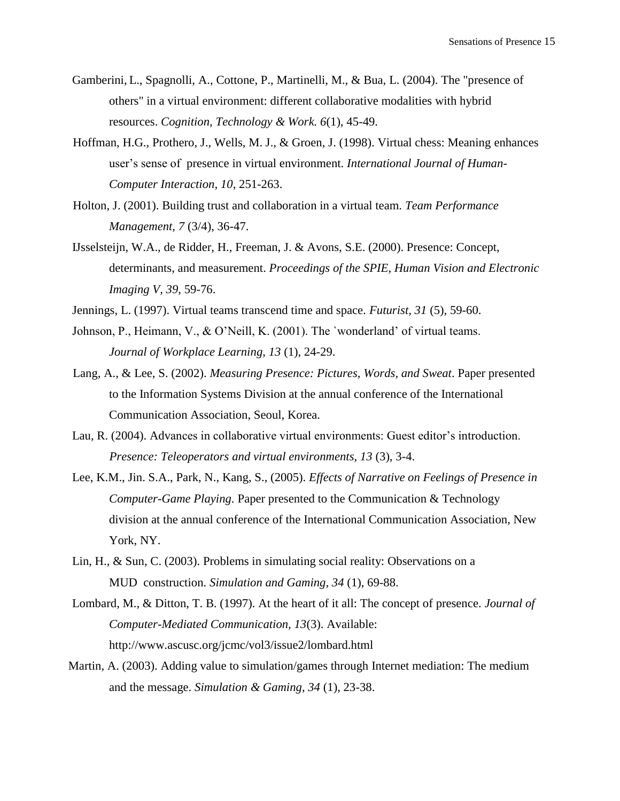- Gamberini, L., Spagnolli, A., Cottone, P., Martinelli, M., & Bua, L. (2004). The "presence of others" in a virtual environment: different collaborative modalities with hybrid resources. *Cognition, Technology & Work. 6*(1), 45-49.
- Hoffman, H.G., Prothero, J., Wells, M. J., & Groen, J. (1998). Virtual chess: Meaning enhances user's sense of presence in virtual environment. *International Journal of Human-Computer Interaction, 10*, 251-263.
- Holton, J. (2001). Building trust and collaboration in a virtual team. *Team Performance Management, 7* (3/4), 36-47.
- IJsselsteijn, W.A., de Ridder, H., Freeman, J. & Avons, S.E. (2000). Presence: Concept, determinants, and measurement. *Proceedings of the SPIE, Human Vision and Electronic Imaging V, 39,* 59-76.
- Jennings, L. (1997). Virtual teams transcend time and space. *Futurist, 31* (5), 59-60.
- Johnson, P., Heimann, V., & O'Neill, K. (2001). The `wonderland' of virtual teams. *Journal of Workplace Learning, 13* (1), 24-29.
- Lang, A., & Lee, S. (2002). *Measuring Presence: Pictures, Words, and Sweat*. Paper presented to the Information Systems Division at the annual conference of the International Communication Association, Seoul, Korea.
- Lau, R. (2004). Advances in collaborative virtual environments: Guest editor's introduction. *Presence: Teleoperators and virtual environments, 13* (3), 3-4.
- Lee, K.M., Jin. S.A., Park, N., Kang, S., (2005). *Effects of Narrative on Feelings of Presence in Computer-Game Playing.* Paper presented to the Communication & Technology division at the annual conference of the International Communication Association, New York, NY.
- Lin, H., & Sun, C. (2003). Problems in simulating social reality: Observations on a MUD construction. *Simulation and Gaming, 34* (1), 69-88.
- Lombard, M., & Ditton, T. B. (1997). At the heart of it all: The concept of presence. *Journal of Computer-Mediated Communication, 13*(3). Available: http://www.ascusc.org/jcmc/vol3/issue2/lombard.html
- Martin, A. (2003). Adding value to simulation/games through Internet mediation: The medium and the message. *Simulation & Gaming, 34* (1), 23-38.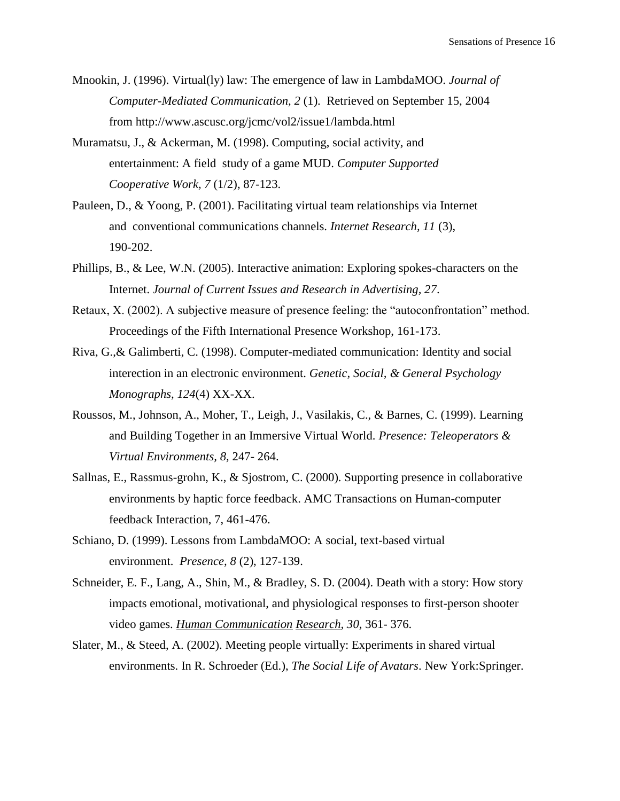- Mnookin, J. (1996). Virtual(ly) law: The emergence of law in LambdaMOO. *Journal of Computer-Mediated Communication, 2* (1). Retrieved on September 15, 2004 from http://www.ascusc.org/jcmc/vol2/issue1/lambda.html
- Muramatsu, J., & Ackerman, M. (1998). Computing, social activity, and entertainment: A field study of a game MUD. *Computer Supported Cooperative Work, 7* (1/2), 87-123.
- Pauleen, D., & Yoong, P. (2001). Facilitating virtual team relationships via Internet and conventional communications channels. *Internet Research, 11* (3), 190-202.
- Phillips, B., & Lee, W.N. (2005). Interactive animation: Exploring spokes-characters on the Internet. *Journal of Current Issues and Research in Advertising, 27*.
- Retaux, X. (2002). A subjective measure of presence feeling: the "autoconfrontation" method. Proceedings of the Fifth International Presence Workshop, 161-173.
- Riva, G.,& Galimberti, C. (1998). Computer-mediated communication: Identity and social interection in an electronic environment. *Genetic, Social, & General Psychology Monographs, 124*(4) XX-XX.
- Roussos, M., Johnson, A., Moher, T., Leigh, J., Vasilakis, C., & Barnes, C. (1999). Learning and Building Together in an Immersive Virtual World. *Presence: Teleoperators & Virtual Environments, 8,* 247- 264.
- Sallnas, E., Rassmus-grohn, K., & Sjostrom, C. (2000). Supporting presence in collaborative environments by haptic force feedback. AMC Transactions on Human-computer feedback Interaction, 7, 461-476.
- Schiano, D. (1999). Lessons from LambdaMOO: A social, text-based virtual environment. *Presence, 8* (2), 127-139.
- Schneider, E. F., Lang, A., Shin, M., & Bradley, S. D. (2004). Death with a story: How story impacts emotional, motivational, and physiological responses to first-person shooter video games. *Human Communication Research, 30,* 361- 376.
- Slater, M., & Steed, A. (2002). Meeting people virtually: Experiments in shared virtual environments. In R. Schroeder (Ed.), *The Social Life of Avatars*. New York:Springer.